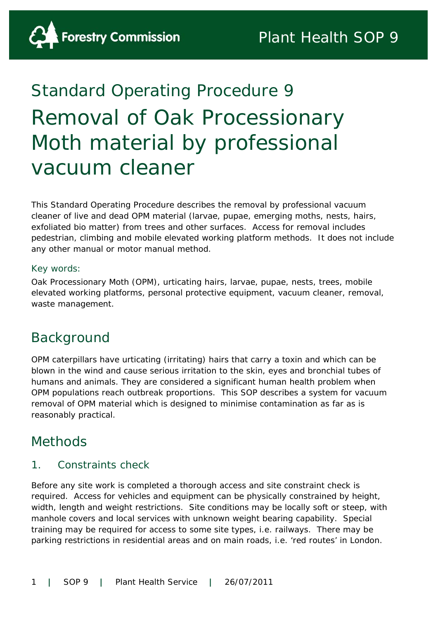# Standard Operating Procedure 9 Removal of Oak Processionary Moth material by professional vacuum cleaner

This Standard Operating Procedure describes the removal by professional vacuum cleaner of live and dead OPM material (larvae, pupae, emerging moths, nests, hairs, exfoliated bio matter) from trees and other surfaces. Access for removal includes pedestrian, climbing and mobile elevated working platform methods. It does not include any other manual or motor manual method.

#### Key words:

Oak Processionary Moth (OPM), urticating hairs, larvae, pupae, nests, trees, mobile elevated working platforms, personal protective equipment, vacuum cleaner, removal, waste management.

# Background

OPM caterpillars have urticating (irritating) hairs that carry a toxin and which can be blown in the wind and cause serious irritation to the skin, eyes and bronchial tubes of humans and animals. They are considered a significant human health problem when OPM populations reach outbreak proportions. This SOP describes a system for vacuum removal of OPM material which is designed to minimise contamination as far as is reasonably practical.

### Methods

#### 1. Constraints check

Before any site work is completed a thorough access and site constraint check is required. Access for vehicles and equipment can be physically constrained by height, width, length and weight restrictions. Site conditions may be locally soft or steep, with manhole covers and local services with unknown weight bearing capability. Special training may be required for access to some site types, i.e. railways. There may be parking restrictions in residential areas and on main roads, i.e. 'red routes' in London.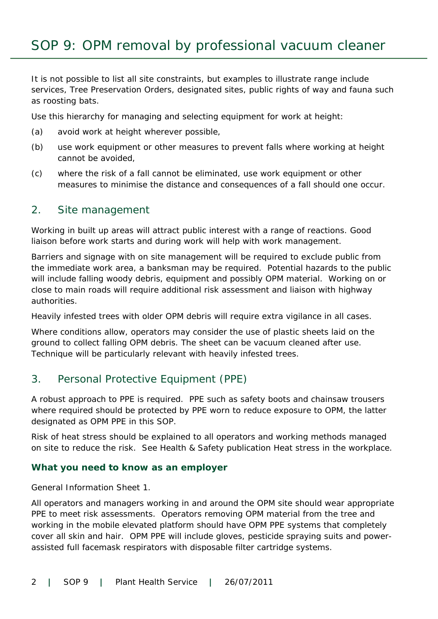It is not possible to list all site constraints, but examples to illustrate range include services, Tree Preservation Orders, designated sites, public rights of way and fauna such as roosting bats.

Use this hierarchy for managing and selecting equipment for work at height:

- (a) avoid work at height wherever possible,
- (b) use work equipment or other measures to prevent falls where working at height cannot be avoided,
- (c) where the risk of a fall cannot be eliminated, use work equipment or other measures to minimise the distance and consequences of a fall should one occur.

#### 2. Site management

Working in built up areas will attract public interest with a range of reactions. Good liaison before work starts and during work will help with work management.

Barriers and signage with on site management will be required to exclude public from the immediate work area, a banksman may be required. Potential hazards to the public will include falling woody debris, equipment and possibly OPM material. Working on or close to main roads will require additional risk assessment and liaison with highway authorities.

Heavily infested trees with older OPM debris will require extra vigilance in all cases.

Where conditions allow, operators may consider the use of plastic sheets laid on the ground to collect falling OPM debris. The sheet can be vacuum cleaned after use. Technique will be particularly relevant with heavily infested trees.

#### 3. Personal Protective Equipment (PPE)

A robust approach to PPE is required. PPE such as safety boots and chainsaw trousers where required should be protected by PPE worn to reduce exposure to OPM, the latter designated as OPM PPE in this SOP.

Risk of heat stress should be explained to all operators and working methods managed on site to reduce the risk. See Health & Safety publication Heat stress in the workplace.

#### **What you need to know as an employer**

General Information Sheet 1.

All operators and managers working in and around the OPM site should wear appropriate PPE to meet risk assessments. Operators removing OPM material from the tree and working in the mobile elevated platform should have OPM PPE systems that completely cover all skin and hair. OPM PPE will include gloves, pesticide spraying suits and powerassisted full facemask respirators with disposable filter cartridge systems.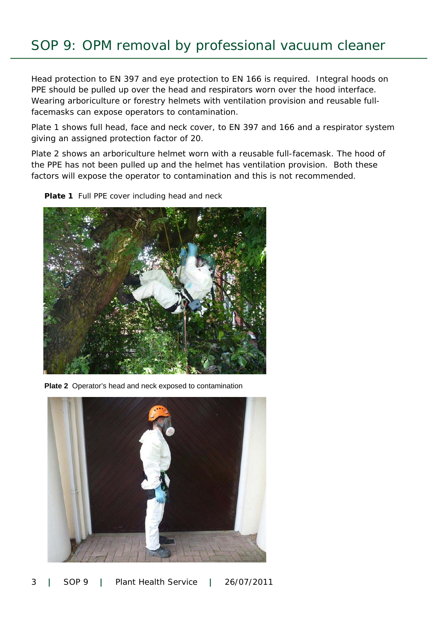# SOP 9: OPM removal by professional vacuum cleaner

Head protection to EN 397 and eye protection to EN 166 is required. Integral hoods on PPE should be pulled up over the head and respirators worn over the hood interface. Wearing arboriculture or forestry helmets with ventilation provision and reusable fullfacemasks can expose operators to contamination.

Plate 1 shows full head, face and neck cover, to EN 397 and 166 and a respirator system giving an assigned protection factor of 20.

Plate 2 shows an arboriculture helmet worn with a reusable full-facemask. The hood of the PPE has not been pulled up and the helmet has ventilation provision. Both these factors will expose the operator to contamination and this is not recommended.

**Plate 1** Full PPE cover including head and neck



**Plate 2** Operator's head and neck exposed to contamination

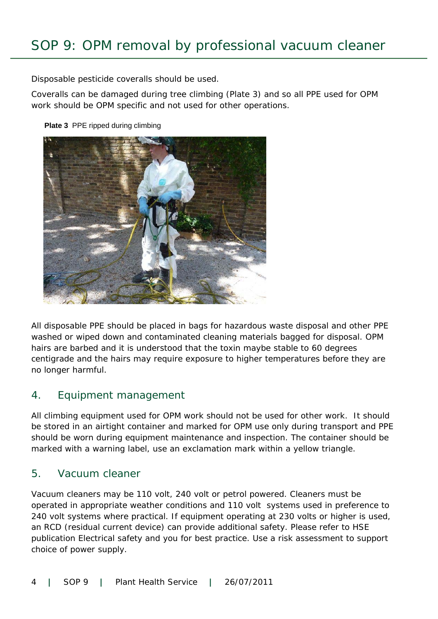Disposable pesticide coveralls should be used.

Coveralls can be damaged during tree climbing (Plate 3) and so all PPE used for OPM work should be OPM specific and not used for other operations.

**Plate 3 PPE ripped during climbing** 



All disposable PPE should be placed in bags for hazardous waste disposal and other PPE washed or wiped down and contaminated cleaning materials bagged for disposal. OPM hairs are barbed and it is understood that the toxin maybe stable to 60 degrees centigrade and the hairs may require exposure to higher temperatures before they are no longer harmful.

### 4. Equipment management

All climbing equipment used for OPM work should not be used for other work. It should be stored in an airtight container and marked for OPM use only during transport and PPE should be worn during equipment maintenance and inspection. The container should be marked with a warning label, use an exclamation mark within a yellow triangle.

#### 5. Vacuum cleaner

Vacuum cleaners may be 110 volt, 240 volt or petrol powered. Cleaners must be operated in appropriate weather conditions and 110 volt systems used in preference to 240 volt systems where practical. If equipment operating at 230 volts or higher is used, an RCD (residual current device) can provide additional safety. Please refer to HSE publication *Electrical safety and you* for best practice. Use a risk assessment to support choice of power supply.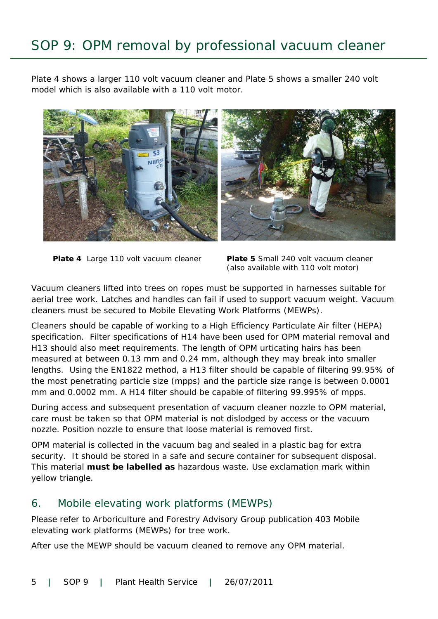# SOP 9: OPM removal by professional vacuum cleaner

Plate 4 shows a larger 110 volt vacuum cleaner and Plate 5 shows a smaller 240 volt model which is also available with a 110 volt motor.



**Plate 4** Large 110 volt vacuum cleaner

**Plate 5** Small 240 volt vacuum cleaner (also available with 110 volt motor)

Vacuum cleaners lifted into trees on ropes must be supported in harnesses suitable for aerial tree work. Latches and handles can fail if used to support vacuum weight. Vacuum cleaners must be secured to Mobile Elevating Work Platforms (MEWPs).

Cleaners should be capable of working to a High Efficiency Particulate Air filter (HEPA) specification. Filter specifications of H14 have been used for OPM material removal and H13 should also meet requirements. The length of OPM urticating hairs has been measured at between 0.13 mm and 0.24 mm, although they may break into smaller lengths. Using the EN1822 method, a H13 filter should be capable of filtering 99.95% of the most penetrating particle size (mpps) and the particle size range is between 0.0001 mm and 0.0002 mm. A H14 filter should be capable of filtering 99.995% of mpps.

During access and subsequent presentation of vacuum cleaner nozzle to OPM material, care must be taken so that OPM material is not dislodged by access or the vacuum nozzle. Position nozzle to ensure that loose material is removed first.

OPM material is collected in the vacuum bag and sealed in a plastic bag for extra security. It should be stored in a safe and secure container for subsequent disposal. This material **must be labelled as** hazardous waste. Use exclamation mark within yellow triangle.

#### 6. Mobile elevating work platforms (MEWPs)

Please refer to Arboriculture and Forestry Advisory Group publication 403 Mobile elevating work platforms (MEWPs) for tree work.

After use the MEWP should be vacuum cleaned to remove any OPM material.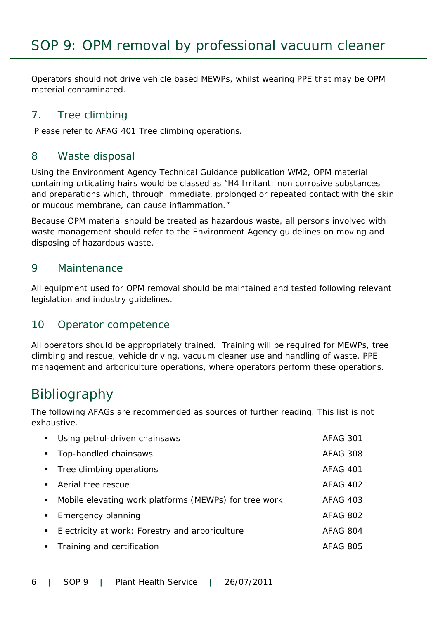Operators should not drive vehicle based MEWPs, whilst wearing PPE that may be OPM material contaminated.

### 7. Tree climbing

Please refer to AFAG 401 *Tree climbing operations*.

### 8 Waste disposal

Using the Environment Agency Technical Guidance publication WM2, OPM material containing urticating hairs would be classed as "H4 Irritant: non corrosive substances and preparations which, through immediate, prolonged or repeated contact with the skin or mucous membrane, can cause inflammation."

Because OPM material should be treated as hazardous waste, all persons involved with waste management should refer to the Environment Agency guidelines on moving and disposing of hazardous waste.

#### 9 Maintenance

All equipment used for OPM removal should be maintained and tested following relevant legislation and industry guidelines.

### 10 Operator competence

All operators should be appropriately trained. Training will be required for MEWPs, tree climbing and rescue, vehicle driving, vacuum cleaner use and handling of waste, PPE management and arboriculture operations, where operators perform these operations.

### Bibliography

The following AFAGs are recommended as sources of further reading. This list is not exhaustive.

| Using petrol-driven chainsaws                         | AFAG 301        |
|-------------------------------------------------------|-----------------|
| Top-handled chainsaws                                 | <b>AFAG 308</b> |
| Tree climbing operations                              | <b>AFAG 401</b> |
| Aerial tree rescue                                    | AFAG 402        |
| Mobile elevating work platforms (MEWPs) for tree work | <b>AFAG 403</b> |
| Emergency planning                                    | AFAG 802        |
| Electricity at work: Forestry and arboriculture       | AFAG 804        |
| Training and certification                            | AFAG 805        |